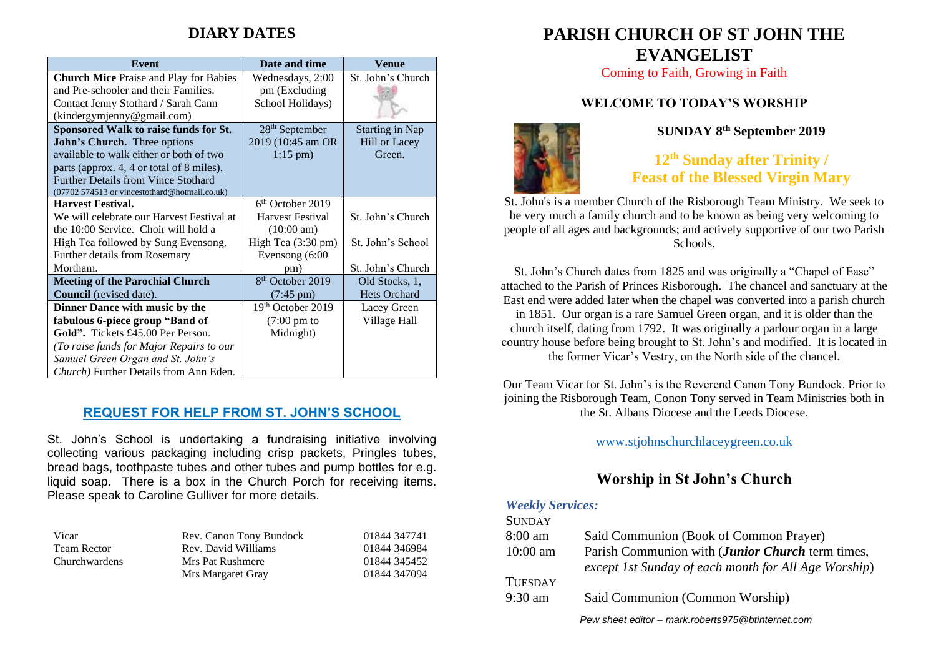# **DIARY DATES**

| <b>Event</b>                                   | Date and time                | Venue                  |
|------------------------------------------------|------------------------------|------------------------|
| <b>Church Mice Praise and Play for Babies</b>  | Wednesdays, 2:00             | St. John's Church      |
| and Pre-schooler and their Families.           | pm (Excluding)               |                        |
| Contact Jenny Stothard / Sarah Cann            | School Holidays)             |                        |
| (kindergymjenny@gmail.com)                     |                              |                        |
| Sponsored Walk to raise funds for St.          | $28th$ September             | <b>Starting in Nap</b> |
| John's Church. Three options                   | 2019 (10:45 am OR            | <b>Hill or Lacey</b>   |
| available to walk either or both of two        | $1:15 \text{ pm}$ )          | Green.                 |
| parts (approx. 4, 4 or total of 8 miles).      |                              |                        |
| <b>Further Details from Vince Stothard</b>     |                              |                        |
| (07702 574513 or vincestothard@hotmail.co.uk)  |                              |                        |
| <b>Harvest Festival.</b>                       | $6th$ October 2019           |                        |
| We will celebrate our Harvest Festival at      | Harvest Festival             | St. John's Church      |
| the 10:00 Service. Choir will hold a           | $(10:00 \text{ am})$         |                        |
| High Tea followed by Sung Evensong.            | High Tea (3:30 pm)           | St. John's School      |
| Further details from Rosemary                  | Evensong (6:00               |                        |
| Mortham.                                       | pm)                          | St. John's Church      |
| <b>Meeting of the Parochial Church</b>         | 8 <sup>th</sup> October 2019 | Old Stocks, 1,         |
| <b>Council</b> (revised date).                 | $(7:45 \text{ pm})$          | Hets Orchard           |
| Dinner Dance with music by the                 | 19th October 2019            | Lacey Green            |
| fabulous 6-piece group "Band of                | $(7:00 \text{ pm to})$       | Village Hall           |
| Gold". Tickets £45.00 Per Person.              | Midnight)                    |                        |
| (To raise funds for Major Repairs to our       |                              |                        |
| Samuel Green Organ and St. John's              |                              |                        |
| <i>Church</i> ) Further Details from Ann Eden. |                              |                        |

## **REQUEST FOR HELP FROM ST. JOHN'S SCHOOL**

St. John's School is undertaking a fundraising initiative involving collecting various packaging including crisp packets, Pringles tubes, bread bags, toothpaste tubes and other tubes and pump bottles for e.g. liquid soap. There is a box in the Church Porch for receiving items. Please speak to Caroline Gulliver for more details.

| Vicar                | Rev. Canon Tony Bundock | 01844 347741 |
|----------------------|-------------------------|--------------|
| <b>Team Rector</b>   | Rev. David Williams     | 01844 346984 |
| <b>Churchwardens</b> | Mrs Pat Rushmere        | 01844 345452 |
|                      | Mrs Margaret Gray       | 01844 347094 |

# **PARISH CHURCH OF ST JOHN THE EVANGELIST**

Coming to Faith, Growing in Faith

## **WELCOME TO TODAY'S WORSHIP**



#### **SUNDAY 8 th September 2019**

**12 th Sunday after Trinity / Feast of the Blessed Virgin Mary**

St. John's is a member Church of the Risborough Team Ministry. We seek to be very much a family church and to be known as being very welcoming to people of all ages and backgrounds; and actively supportive of our two Parish Schools.

St. John's Church dates from 1825 and was originally a "Chapel of Ease" attached to the Parish of Princes Risborough. The chancel and sanctuary at the East end were added later when the chapel was converted into a parish church in 1851. Our organ is a rare Samuel Green organ, and it is older than the church itself, dating from 1792. It was originally a parlour organ in a large country house before being brought to St. John's and modified. It is located in the former Vicar's Vestry, on the North side of the chancel.

Our Team Vicar for St. John's is the Reverend Canon Tony Bundock. Prior to joining the Risborough Team, Conon Tony served in Team Ministries both in the St. Albans Diocese and the Leeds Diocese.

[www.stjohnschurchlaceygreen.co.uk](http://www.stjohnschurchlaceygreen.co.uk/)

# **Worship in St John's Church**

#### *Weekly Services:*

| <b>SUNDAY</b>  |                                                      |
|----------------|------------------------------------------------------|
| $8:00$ am      | Said Communion (Book of Common Prayer)               |
| $10:00$ am     | Parish Communion with (Junior Church term times,     |
|                | except 1st Sunday of each month for All Age Worship) |
| <b>TUESDAY</b> |                                                      |
| $9:30$ am      | Said Communion (Common Worship)                      |
|                | Pew sheet editor - mark.roberts975@btinternet.com    |